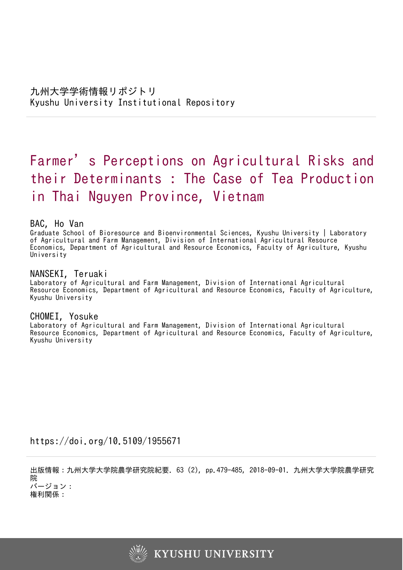# Farmer ' s Perceptions on Agricultural Risks and their Determinants : The Case of Tea Production in Thai Nguyen Province, Vietnam

# BAC, Ho Van

Graduate School of Bioresource and Bioenvironmental Sciences, Kyushu University | Laboratory of Agricultural and Farm Management, Division of International Agricultural Resource Economics, Department of Agricultural and Resource Economics, Faculty of Agriculture, Kyushu **University** 

# NANSEKI, Teruaki

Laboratory of Agricultural and Farm Management, Division of International Agricultural Resource Economics, Department of Agricultural and Resource Economics, Faculty of Agriculture, Kyushu University

# CHOMEI, Yosuke

Laboratory of Agricultural and Farm Management, Division of International Agricultural Resource Economics, Department of Agricultural and Resource Economics, Faculty of Agriculture, Kyushu University

https://doi.org/10.5109/1955671

出版情報:九州大学大学院農学研究院紀要. 63 (2), pp.479-485, 2018-09-01. 九州大学大学院農学研究 院 バージョン:

権利関係:

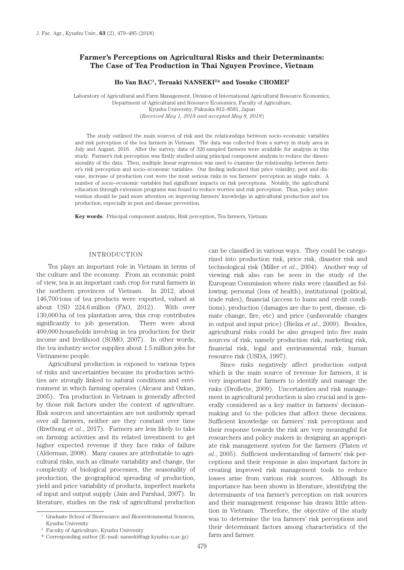# **Farmer's Perceptions on Agricultural Risks and their Determinants: The Case of Tea Production in Thai Nguyen Province, Vietnam**

#### **Ho Van BAC1, Teruaki NANSEKI2\* and Yosuke CHOMEI2**

Laboratory of Agricultural and Farm Management, Division of International Agricultural Resource Economics, Department of Agricultural and Resource Economics, Faculty of Agriculture, Kyushu University, Fukuoka 812–8581, Japan (*Received May 1, 2018 and accepted May 8, 2018*)

The study outlined the main sources of risk and the relationships between socio–economic variables and risk perception of the tea farmers in Vietnam. The data was collected from a survey in study area in July and August, 2016. After the survey, data of 326 sampled farmers were available for analysis in this study. Farmer's risk perception was firstly studied using principal component analysis to reduce the dimensionality of the data. Then, multiple linear regression was used to examine the relationship between farmer's risk perception and socio–economic variables. Our finding indicated that price volatility, pest and disease, increase of production cost were the most serious risks in tea farmers' perception as single risks. A number of socio–economic variables had significant impacts on risk perceptions. Notably, the agricultural education through extension programs was found to reduce worries and risk perception. Thus, policy intervention should be paid more attention on improving farmers' knowledge in agricultural production and tea production, especially in pest and disease prevention.

**Key words**: Principal component analysis, Risk perception, Tea farmers, Vietnam

#### INTRODUCTION

Tea plays an important role in Vietnam in terms of the culture and the economy. From an economic point of view, tea is an important cash crop for rural farmers in the northern provinces of Vietnam. In 2012, about 146,700 tons of tea products were exported, valued at about USD 224.6 million (FAO, 2012). With over 130,000 ha of tea plantation area, this crop contributes significantly to job generation. There were about 400,000 households involving in tea production for their income and livelihood (SOMO, 2007). In other words, the tea industry sector supplies about 1.5 million jobs for Vietnamese people.

Agricultural production is exposed to various types of risks and uncertainties because its production activities are strongly linked to natural conditions and environment in which farming operates (Akcaoz and Ozkan, 2005). Tea production in Vietnam is generally affected by those risk factors under the context of agriculture. Risk sources and uncertainties are not uniformly spread over all farmers, neither are they constant over time (Riwthong *et al*., 2017). Farmers are less likely to take on farming activities and its related investment to get higher expected revenue if they face risks of failure (Alderman, 2008). Many causes are attributable to agricultural risks, such as climate variability and change, the complexity of biological processes, the seasonality of production, the geographical spreading of production, yield and price variability of products, imperfect markets of input and output supply (Jain and Parshad, 2007). In literature, studies on the risk of agricultural production can be classified in various ways. They could be categorized into production risk, price risk, disaster risk and technological risk (Miller *et al*., 2004). Another way of viewing risk also can be seen in the study of the European Commission where risks were classified as following: personal (loss of health), institutional (political, trade rules), financial (access to loans and credit conditions), production (damages are due to pest, disease, climate change, fire, etc) and price (unfavorable changes in output and input price) (Bielza *et al*., 2009). Besides, agricultural risks could be also grouped into five main sources of risk, namely production risk, marketing risk, financial risk, legal and environmental risk, human resource risk (USDA, 1997).

Since risks negatively affect production output which is the main source of revenue for farmers, it is very important for farmers to identify and manage the risks (Drollette, 2009). Uncertainties and risk management in agricultural production is also crucial and is generally considered as a key matter in farmers' decision– making and to the policies that affect these decisions. Sufficient knowledge on farmers' risk perceptions and their response towards the risk are very meaningful for researchers and policy makers in designing an appropriate risk management system for the farmers (Flaten *et al*., 2005). Sufficient understanding of farmers' risk perceptions and their response is also important factors in creating improved risk management tools to reduce losses arise from various risk sources. Although its importance has been shown in literature, identifying the determinants of tea farmer's perception on risk sources and their management response has drawn little attention in Vietnam. Therefore, the objective of the study was to determine the tea farmers' risk perceptions and their determinant factors among characteristics of the farm and farmer.

<sup>1</sup> Graduate School of Bioresource and Bioenvironmental Sciences, Kyushu University

<sup>2</sup> Faculty of Agriculture, Kyushu University

<sup>\*</sup> Corresponding author (E–mail: nanseki@agr.kyushu–u.ac.jp)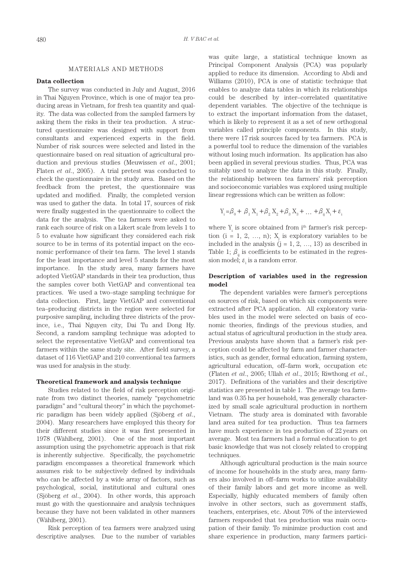## MATERIALS AND METHODS

## **Data collection**

The survey was conducted in July and August, 2016 in Thai Nguyen Province, which is one of major tea producing areas in Vietnam, for fresh tea quantity and quality. The data was collected from the sampled farmers by asking them the risks in their tea production. A structured questionnaire was designed with support from consultants and experienced experts in the field. Number of risk sources were selected and listed in the questionnaire based on real situation of agricultural production and previous studies (Meuwissen *et al*., 2001; Flaten *et al*., 2005). A trial pretest was conducted to check the questionnaire in the study area. Based on the feedback from the pretest, the questionnaire was updated and modified. Finally, the completed version was used to gather the data. In total 17, sources of risk were finally suggested in the questionnaire to collect the data for the analysis. The tea farmers were asked to rank each source of risk on a Likert scale from levels 1 to 5 to evaluate how significant they considered each risk source to be in terms of its potential impact on the economic performance of their tea farm. The level 1 stands for the least importance and level 5 stands for the most importance. In the study area, many farmers have adopted VietGAP standards in their tea production, thus the samples cover both VietGAP and conventional tea practices. We used a two–stage sampling technique for data collection. First, large VietGAP and conventional tea–producing districts in the region were selected for purposive sampling, including three districts of the province, i.e., Thai Nguyen city, Dai Tu and Dong Hy. Second, a random sampling technique was adopted to select the representative VietGAP and conventional tea farmers within the same study site. After field survey, a dataset of 116 VietGAP and 210 conventional tea farmers was used for analysis in the study.

#### **Theoretical framework and analysis technique**

Studies related to the field of risk perception originate from two distinct theories, namely "psychometric paradigm" and "cultural theory" in which the psychometric paradigm has been widely applied (Sjöberg *et al*., 2004). Many researchers have employed this theory for their different studies since it was first presented in 1978 (Wählberg, 2001). One of the most important assumption using the psychometric approach is that risk is inherently subjective. Specifically, the psychometric paradigm encompasses a theoretical framework which assumes risk to be subjectively defined by individuals who can be affected by a wide array of factors, such as psychological, social, institutional and cultural ones (Sjöberg *et al*., 2004). In other words, this approach must go with the questionnaire and analysis techniques because they have not been validated in other manners (Wählberg, 2001).

Risk perception of tea farmers were analyzed using descriptive analyses. Due to the number of variables was quite large, a statistical technique known as Principal Component Analysis (PCA) was popularly applied to reduce its dimension. According to Abdi and Williams (2010), PCA is one of statistic technique that enables to analyze data tables in which its relationships could be described by inter–correlated quantitative dependent variables. The objective of the technique is to extract the important information from the dataset, which is likely to represent it as a set of new orthogonal variables called principle components. In this study, there were 17 risk sources faced by tea farmers. PCA is a powerful tool to reduce the dimension of the variables without losing much information. Its application has also been applied in several previous studies. Thus, PCA was suitably used to analyze the data in this study. Finally, the relationship between tea farmers' risk perception and socioeconomic variables was explored using multiple linear regressions which can be written as follow:

$$
Y_i = \beta_0 + \beta_1 X_1 + \beta_2 X_2 + \beta_3 X_3 + \dots + \beta_{ij} X_i + \varepsilon_i
$$

where  $Y_i$  is score obtained from i<sup>th</sup> farmer's risk perception  $(i = 1, 2, ..., n)$ ;  $X_j$  is exploratory variables to be included in the analysis  $(j = 1, 2, ..., 13)$  as described in Table 1;  $\beta_{ii}$  is coefficients to be estimated in the regression model;  $\varepsilon$ <sub>i</sub> is a random error.

# **Description of variables used in the regression model**

The dependent variables were farmer's perceptions on sources of risk, based on which six components were extracted after PCA application. All exploratory variables used in the model were selected on basis of economic theories, findings of the previous studies, and actual status of agricultural production in the study area. Previous analysts have shown that a farmer's risk perception could be affected by farm and farmer characteristics, such as gender, formal education, farming system, agricultural education, off–farm work, occupation etc (Flaten *et al*., 2005; Ullah *et al*., 2015; Riwthong *et al*., 2017). Definitions of the variables and their descriptive statistics are presented in table 1. The average tea farmland was 0.35 ha per household, was generally characterized by small scale agricultural production in northern Vietnam. The study area is dominated with favorable land area suited for tea production. Thus tea farmers have much experience in tea production of 22 years on average. Most tea farmers had a formal education to get basic knowledge that was not closely related to cropping techniques.

Although agricultural production is the main source of income for households in the study area, many farmers also involved in off–farm works to utilize availability of their family labors and get more income as well. Especially, highly educated members of family often involve in other sectors, such as government staffs, teachers, enterprises, etc. About 70% of the interviewed farmers responded that tea production was main occupation of their family. To minimize production cost and share experience in production, many farmers partici-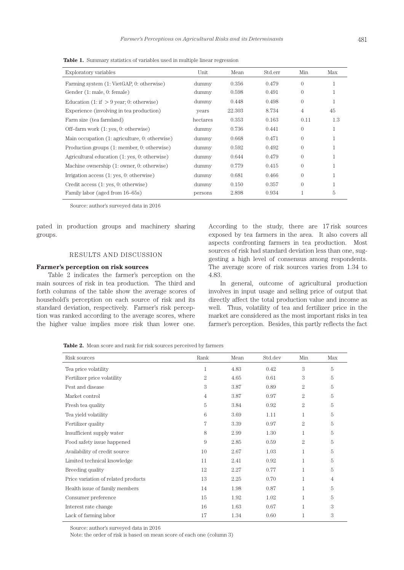**Table 1.** Summary statistics of variables used in multiple linear regression

| Exploratory variables                           | Unit     | Mean   | Std.err | Min            | Max |
|-------------------------------------------------|----------|--------|---------|----------------|-----|
| Farming system (1: VietGAP, 0: otherwise)       | dummy    | 0.356  | 0.479   | $\Omega$       | -1  |
| Gender (1: male, 0: female)                     | dummy    | 0.598  | 0.491   | $\theta$       | T   |
| Education $(1:$ if $> 9$ year; 0: otherwise)    | dummy    | 0.448  | 0.498   | $\Omega$       |     |
| Experience (involving in tea production)        | years    | 22.303 | 8.734   | $\overline{4}$ | 45  |
| Farm size (tea farmland)                        | hectares | 0.353  | 0.163   | 0.11           | 1.3 |
| Off-farm work $(1: yes, 0: otherwise)$          | dummy    | 0.736  | 0.441   | $\theta$       | 1   |
| Main occupation (1: agriculture, 0: otherwise)  | dummy    | 0.668  | 0.471   | $\Omega$       | 1   |
| Production groups (1: member, 0: otherwise)     | dummy    | 0.592  | 0.492   | $\Omega$       | -1  |
| Agricultural education $(1: yes, 0: otherwise)$ | dummy    | 0.644  | 0.479   | $\Omega$       |     |
| Machine ownership (1: owner, 0: otherwise)      | dummy    | 0.779  | 0.415   | $\theta$       | 1   |
| Irrigation access $(1: yes, 0: otherwise)$      | dummy    | 0.681  | 0.466   | $\Omega$       |     |
| Credit access (1: yes, 0: otherwise)            | dummy    | 0.150  | 0.357   | $\theta$       |     |
| Family labor (aged from 16–65s)                 | persons  | 2.898  | 0.934   |                | 5   |

Source: author's surveyed data in 2016

pated in production groups and machinery sharing groups.

# RESULTS AND DISCUSSION

#### **Farmer's perception on risk sources**

Table 2 indicates the farmer's perception on the main sources of risk in tea production. The third and forth columns of the table show the average scores of household's perception on each source of risk and its standard deviation, respectively. Farmer's risk perception was ranked according to the average scores, where the higher value implies more risk than lower one.

According to the study, there are 17 risk sources exposed by tea farmers in the area. It also covers all aspects confronting farmers in tea production. Most sources of risk had standard deviation less than one, suggesting a high level of consensus among respondents. The average score of risk sources varies from 1.34 to 4.83.

In general, outcome of agricultural production involves in input usage and selling price of output that directly affect the total production value and income as well. Thus, volatility of tea and fertilizer price in the market are considered as the most important risks in tea farmer's perception. Besides, this partly reflects the fact

**Table 2.** Mean score and rank for risk sources perceived by farmers

| Risk sources                        | Rank           | Mean | Std.dev | Min | Max |
|-------------------------------------|----------------|------|---------|-----|-----|
| Tea price volatility                | 1              | 4.83 | 0.42    | 3   | 5   |
| Fertilizer price volatility         | $\overline{2}$ | 4.65 | 0.61    | 3   | 5   |
| Pest and disease                    | 3              | 3.87 | 0.89    | 2   | 5   |
| Market control                      | 4              | 3.87 | 0.97    | 2   | 5   |
| Fresh tea quality                   | 5              | 3.84 | 0.92    | 2   | 5   |
| Tea yield volatility                | 6              | 3.69 | 1.11    | 1   | 5   |
| Fertilizer quality                  | 7              | 3.39 | 0.97    | 2   | 5   |
| Insufficient supply water           | 8              | 2.99 | 1.30    | 1   | 5   |
| Food safety issue happened          | 9              | 2.85 | 0.59    | 2   | 5   |
| Availability of credit source       | 10             | 2.67 | 1.03    | 1   | 5   |
| Limited technical knowledge         | 11             | 2.41 | 0.92    | 1   | 5   |
| Breeding quality                    | 12             | 2.27 | 0.77    | 1   | 5   |
| Price variation of related products | 13             | 2.25 | 0.70    | 1   | 4   |
| Health issue of family members      | 14             | 1.98 | 0.87    | 1   | 5   |
| Consumer preference                 | 15             | 1.92 | 1.02    | 1   | 5   |
| Interest rate change                | 16             | 1.63 | 0.67    | 1   | 3   |
| Lack of farming labor               | 17             | 1.34 | 0.60    |     | 3   |

Source: author's surveyed data in 2016

Note: the order of risk is based on mean score of each one (column 3)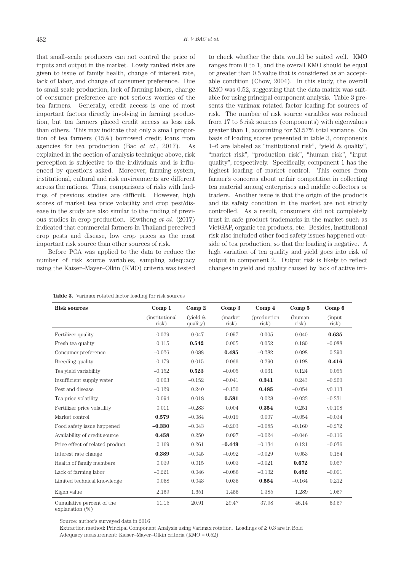that small–scale producers can not control the price of inputs and output in the market. Lowly ranked risks are given to issue of family health, change of interest rate, lack of labor, and change of consumer preference. Due to small scale production, lack of farming labors, change of consumer preference are not serious worries of the tea farmers. Generally, credit access is one of most important factors directly involving in farming production, but tea farmers placed credit access as less risk than others. This may indicate that only a small proportion of tea farmers (15%) borrowed credit loans from agencies for tea production (Bac *et al*., 2017). As explained in the section of analysis technique above, risk perception is subjective to the individuals and is influenced by questions asked. Moreover, farming system, institutional, cultural and risk environments are different across the nations. Thus, comparisons of risks with findings of previous studies are difficult. However, high scores of market tea price volatility and crop pest/disease in the study are also similar to the finding of previous studies in crop production. Riwthong *et al*. (2017) indicated that commercial farmers in Thailand perceived crop pests and disease, low crop prices as the most important risk source than other sources of risk.

Before PCA was applied to the data to reduce the number of risk source variables, sampling adequacy using the Kaiser–Mayer–Olkin (KMO) criteria was tested to check whether the data would be suited well. KMO ranges from 0 to 1, and the overall KMO should be equal or greater than 0.5 value that is considered as an acceptable condition (Chow, 2004). In this study, the overall KMO was 0.52, suggesting that the data matrix was suitable for using principal component analysis. Table 3 presents the varimax rotated factor loading for sources of risk. The number of risk source variables was reduced from 17 to 6 risk sources (components) with eigenvalues greater than 1, accounting for 53.57% total variance. On basis of loading scores presented in table 3, components 1–6 are labeled as "institutional risk", "yield & quality", "market risk", "production risk", "human risk", "input quality", respectively. Specifically, component 1 has the highest loading of market control. This comes from farmer's concerns about unfair competition in collecting tea material among enterprises and middle collectors or traders. Another issue is that the origin of the products and its safety condition in the market are not strictly controlled. As a result, consumers did not completely trust in safe product trademarks in the market such as VietGAP, organic tea products, etc. Besides, institutional risk also included other food safety issues happened outside of tea production, so that the loading is negative. A high variation of tea quality and yield goes into risk of output in component 2. Output risk is likely to reflect changes in yield and quality caused by lack of active irri-

|  | <b>Table 3.</b> Varimax rotated factor loading for risk sources |  |  |
|--|-----------------------------------------------------------------|--|--|
|--|-----------------------------------------------------------------|--|--|

| <b>Risk sources</b>                             | Comp 1                          | Comp 2                 | Comp 3            | Comp 4                       | Comp 5          | Comp 6           |
|-------------------------------------------------|---------------------------------|------------------------|-------------------|------------------------------|-----------------|------------------|
|                                                 | <i>(institutional)</i><br>risk) | (yield $&$<br>quality) | (market)<br>risk) | <i>(production)</i><br>risk) | (human<br>risk) | (input)<br>risk) |
| Fertilizer quality                              | 0.029                           | $-0.047$               | $-0.097$          | $-0.005$                     | $-0.040$        | 0.635            |
| Fresh tea quality                               | 0.115                           | 0.542                  | 0.005             | 0.052                        | 0.180           | $-0.088$         |
| Consumer preference                             | $-0.026$                        | 0.088                  | 0.485             | $-0.282$                     | 0.098           | 0.290            |
| Breeding quality                                | $-0.179$                        | $-0.015$               | 0.066             | 0.290                        | 0.198           | 0.416            |
| Tea yield variability                           | $-0.152$                        | 0.523                  | $-0.005$          | 0.061                        | 0.124           | 0.055            |
| Insufficient supply water                       | 0.063                           | $-0.152$               | $-0.041$          | 0.341                        | 0.243           | $-0.260$         |
| Pest and disease                                | $-0.129$                        | 0.240                  | $-0.150$          | 0.485                        | $-0.054$        | v0.113           |
| Tea price volatility                            | 0.094                           | 0.018                  | 0.581             | 0.028                        | $-0.033$        | $-0.231$         |
| Fertilizer price volatility                     | 0.011                           | $-0.283$               | 0.004             | 0.354                        | 0.251           | v0.108           |
| Market control                                  | 0.579                           | $-0.084$               | $-0.019$          | 0.007                        | $-0.054$        | $-0.034$         |
| Food safety issue happened                      | $-0.330$                        | $-0.043$               | $-0.203$          | $-0.085$                     | $-0.160$        | $-0.272$         |
| Availability of credit source                   | 0.458                           | 0.250                  | 0.097             | $-0.024$                     | $-0.046$        | $-0.116$         |
| Price effect of related product                 | 0.169                           | 0.261                  | $-0.449$          | $-0.134$                     | 0.121           | $-0.036$         |
| Interest rate change                            | 0.389                           | $-0.045$               | $-0.092$          | $-0.029$                     | 0.053           | 0.184            |
| Health of family members                        | 0.039                           | 0.015                  | 0.003             | $-0.021$                     | 0.672           | 0.057            |
| Lack of farming labor                           | $-0.221$                        | 0.046                  | $-0.086$          | $-0.132$                     | 0.492           | $-0.091$         |
| Limited technical knowledge                     | 0.058                           | 0.043                  | 0.035             | 0.554                        | $-0.164$        | 0.212            |
| Eigen value                                     | 2.169                           | 1.651                  | 1.455             | 1.385                        | 1.289           | 1.057            |
| Cumulative percent of the<br>explanation $(\%)$ | 11.15                           | 20.91                  | 29.47             | 37.98                        | 46.14           | 53.57            |

Source: author's surveyed data in 2016

Extraction method: Principal Component Analysis using Varimax rotation. Loadings of ≥ 0.3 are in Bold Adequacy measurement: Kaiser–Mayer–Olkin criteria (KMO = 0.52)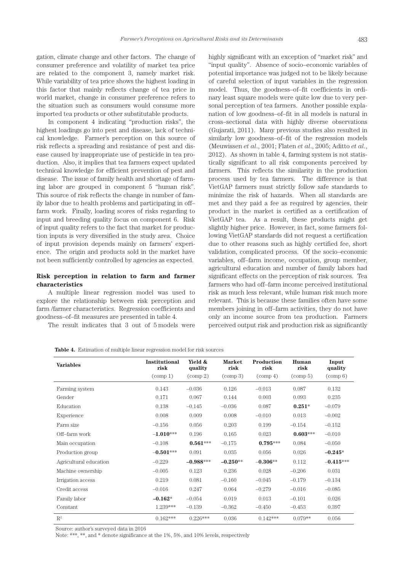gation, climate change and other factors. The change of consumer preference and volatility of market tea price are related to the component 3, namely market risk. While variability of tea price shows the highest loading in this factor that mainly reflects change of tea price in world market, change in consumer preference refers to the situation such as consumers would consume more imported tea products or other substitutable products.

In component 4 indicating "production risks", the highest loadings go into pest and disease, lack of technical knowledge. Farmer's perception on this source of risk reflects a spreading and resistance of pest and disease caused by inappropriate use of pesticide in tea production. Also, it implies that tea farmers expect updated technical knowledge for efficient prevention of pest and disease. The issue of family health and shortage of farming labor are grouped in component 5 "human risk". This source of risk reflects the change in number of family labor due to health problems and participating in off– farm work. Finally, loading scores of risks regarding to input and breeding quality focus on component 6. Risk of input quality refers to the fact that market for production inputs is very diversified in the study area. Choice of input provision depends mainly on farmers' experience. The origin and products sold in the market have not been sufficiently controlled by agencies as expected.

# **Risk perception in relation to farm and farmer characteristics**

A multiple linear regression model was used to explore the relationship between risk perception and farm /farmer characteristics. Regression coefficients and goodness–of–fit measures are presented in table 4.

The result indicates that 3 out of 5 models were

highly significant with an exception of "market risk" and "input quality". Absence of socio–economic variables of potential importance was judged not to be likely because of careful selection of input variables in the regression model. Thus, the goodness–of–fit coefficients in ordinary least square models were quite low due to very personal perception of tea farmers. Another possible explanation of low goodness–of–fit in all models is natural in cross–sectional data with highly diverse observations (Gujarati, 2011). Many previous studies also resulted in similarly low goodness–of–fit of the regression models (Meuwissen *et al*., 2001; Flaten *et al*., 2005; Aditto *et al*., 2012). As shown in table 4, farming system is not statistically significant to all risk components perceived by farmers. This reflects the similarity in the production process used by tea farmers. The difference is that VietGAP farmers must strictly follow safe standards to minimize the risk of hazards. When all standards are met and they paid a fee as required by agencies, their product in the market is certified as a certification of VietGAP tea. As a result, these products might get slightly higher price. However, in fact, some farmers following VietGAP standards did not request a certification due to other reasons such as highly certified fee, short validation, complicated process. Of the socio–economic variables, off–farm income, occupation, group member, agricultural education and number of family labors had significant effects on the perception of risk sources. Tea farmers who had off–farm income perceived institutional risk as much less relevant, while human risk much more relevant. This is because these families often have some members joining in off–farm activities, they do not have only an income source from tea production. Farmers perceived output risk and production risk as significantly

**Table 4.** Estimation of multiple linear regression model for risk sources

| <b>Variables</b>       | Institutional<br>risk | Yield &<br>quality            | <b>Market</b><br>risk         | Production<br>risk            | Human<br>risk                 | Input<br>quality              |
|------------------------|-----------------------|-------------------------------|-------------------------------|-------------------------------|-------------------------------|-------------------------------|
|                        | $\text{(comp 1)}$     | $\left(\text{comp } 2\right)$ | $\left(\text{comp } 3\right)$ | $\left(\text{comp } 4\right)$ | $\left(\text{comp } 5\right)$ | $\left(\text{comp } 6\right)$ |
| Farming system         | 0.143                 | $-0.036$                      | 0.126                         | $-0.013$                      | 0.087                         | 0.132                         |
| Gender                 | 0.171                 | 0.067                         | 0.144                         | 0.003                         | 0.093                         | 0.235                         |
| Education              | 0.138                 | $-0.145$                      | $-0.036$                      | 0.087                         | $0.251*$                      | $-0.079$                      |
| Experience             | 0.008                 | 0.009                         | 0.008                         | $-0.010$                      | 0.013                         | $-0.002$                      |
| Farm size              | $-0.156$              | 0.056                         | 0.203                         | 0.199                         | $-0.154$                      | $-0.152$                      |
| Off-farm work          | $-1.010***$           | 0.196                         | 0.165                         | 0.023                         | $0.603***$                    | $-0.010$                      |
| Main occupation        | $-0.108$              | $0.561***$                    | $-0.175$                      | $0.795***$                    | 0.084                         | $-0.050$                      |
| Production group       | $-0.501***$           | 0.091                         | 0.035                         | 0.056                         | 0.026                         | $-0.245*$                     |
| Agricultural education | $-0.229$              | $-0.988***$                   | $-0.250**$                    | $-0.306**$                    | 0.112                         | $-0.415***$                   |
| Machine ownership      | $-0.005$              | 0.123                         | 0.236                         | 0.028                         | $-0.206$                      | 0.031                         |
| Irrigation access      | 0.219                 | 0.081                         | $-0.160$                      | $-0.045$                      | $-0.179$                      | $-0.134$                      |
| Credit access          | $-0.016$              | 0.247                         | 0.064                         | $-0.279$                      | $-0.016$                      | $-0.085$                      |
| Family labor           | $-0.162*$             | $-0.054$                      | 0.019                         | 0.013                         | $-0.101$                      | 0.026                         |
| Constant               | 1.239***              | $-0.139$                      | $-0.362$                      | $-0.450$                      | $-0.453$                      | 0.397                         |
| $\mathbb{R}^2$         | $0.162***$            | $0.226***$                    | 0.036                         | $0.142***$                    | $0.079**$                     | 0.056                         |

Source: author's surveyed data in 2016

Note: \*\*\*, \*\*, and \* denote significance at the 1%, 5%, and 10% levels, respectively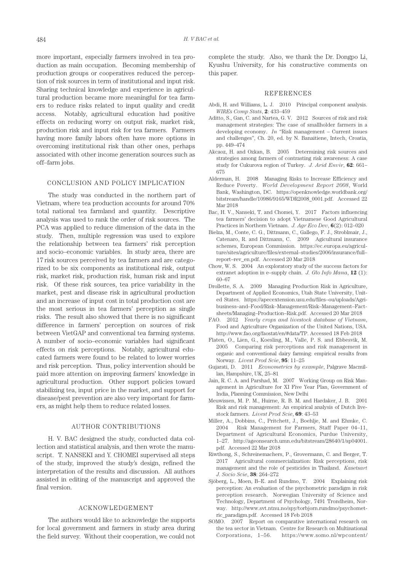more important, especially farmers involved in tea production as main occupation. Becoming membership of production groups or cooperatives reduced the perception of risk sources in term of institutional and input risk. Sharing technical knowledge and experience in agricultural production became more meaningful for tea farmers to reduce risks related to input quality and credit access. Notably, agricultural education had positive effects on reducing worry on output risk, market risk, production risk and input risk for tea farmers. Farmers having more family labors often have more options in overcoming institutional risk than other ones, perhaps associated with other income generation sources such as off–farm jobs.

## CONCLUSION AND POLICY IMPLICATION

The study was conducted in the northern part of Vietnam, where tea production accounts for around 70% total national tea farmland and quantity. Descriptive analysis was used to rank the order of risk sources. The PCA was applied to reduce dimension of the data in the study. Then, multiple regression was used to explore the relationship between tea farmers' risk perception and socio–economic variables. In study area, there are 17 risk sources perceived by tea farmers and are categorized to be six components as institutional risk, output risk, market risk, production risk, human risk and input risk. Of these risk sources, tea price variability in the market, pest and disease risk in agricultural production and an increase of input cost in total production cost are the most serious in tea farmers' perception as single risks. The result also showed that there is no significant difference in farmers' perception on sources of risk between VietGAP and conventional tea farming systems. A number of socio–economic variables had significant effects on risk perceptions. Notably, agricultural educated farmers were found to be related to lower worries and risk perception. Thus, policy intervention should be paid more attention on improving farmers' knowledge in agricultural production. Other support policies toward stabilizing tea, input price in the market, and support for disease/pest prevention are also very important for farmers, as might help them to reduce related losses.

#### AUTHOR CONTRIBUTIONS

H. V. BAC designed the study, conducted data collection and statistical analysis, and then wrote the manuscript. T. NANSEKI and Y. CHOMEI supervised all steps of the study, improved the study's design, refined the interpretation of the results and discussion. All authors assisted in editing of the manuscript and approved the final version.

# ACKNOWLEDGEMENT

The authors would like to acknowledge the supports for local government and farmers in study area during the field survey. Without their cooperation, we could not complete the study. Also, we thank the Dr. Dongpo Li, Kyushu University, for his constructive comments on this paper.

#### REFERENCES

- Abdi, H. and Williams, L. J. 2010 Principal component analysis. *WIREs Comp Stats*, **2**: 433–459
- Aditto, S., Gan, C. and Nartea, G. V. 2012 Sources of risk and risk management strategies: The case of smallholder farmers in a developing economy. *In* "Risk management – Current issues and challenges", Ch. 20, ed. by N. Banaitiene, Intech, Croatia, pp. 449–474
- Akcaoz, H. and Ozkan, B. 2005 Determining risk sources and strategies among farmers of contrasting risk awareness: A case study for Cukurova region of Turkey. *J. Arid Envir*, **62**: 661– 675
- Alderman, H. 2008 Managing Risks to Increase Efficiency and Reduce Poverty. *World Development Report 2008*, World Bank, Washington, DC. https://openknowledge.worldbank.org/ bitstream/handle/10986/9165/WDR2008\_0001.pdf. Accessed 22 Mar 2018
- Bac, H. V., Nanseki, T. and Chomei, Y. 2017 Factors influencing tea farmers' decision to adopt Vietnamese Good Agricultural Practices in Northern Vietnam. *J. Agr Eco Dev*, **6**(2): 012–020
- Bielza, M., Conte, C. G., Dittmann, C., Gallego, F. J., Stroblmair, J., Catenaro, R. and Dittmann, C. 2009 Agicultural insurance schemes, European Commission. https://ec.europa.eu/agriculture/sites/agriculture/files/external–studies/2006/insurance/full– report–rev\_en.pdf. Accessed 20 Mar 2018
- Chow, W. S. 2004 An exploratory study of the success factors for extranet adoption in e–supply chain. *J. Glo Info Mana*, **12** (1): 60–67
- Drollette, S. A. 2009 Managing Production Risk in Agriculture, Department of Applied Economics, Utah State University, United States. https://apecextension.usu.edu/files–ou/uploads/Agribusiness–and–Food/Risk–Management/Risk–Management–Factsheets/Managing–Production–Risk.pdf. Accessed 20 Mar 2018
- FAO. 2012 *Yearly crops and livestock database of Vietnam*, Food and Agriculture Organization of the United Nations, USA. http://www.fao.org/faostat/en/#data/TP. Accessed 18 Feb 2018
- Flaten, O., Lien, G., Koesling, M., Valle, P. S. and Ebbesvik, M. 2005 Comparing risk perceptions and risk management in organic and conventional dairy farming: empirical results from Norway. *Livest Prod Scie*, **95**: 11–25
- Gujarati, D. 2011 *Econometrics by example*, Palgrave Macmillan, Hampshire, UK, 25–81
- Jain, R. C. A. and Parshad, M. 2007 Working Group on Risk Management in Agriculture for XI Five Year Plan, Government of India, Planning Commission, New Delhi
- Meuwissen, M. P. M., Huirne, R. B. M. and Hardaker, J. B. 2001 Risk and risk management: An empirical analysis of Dutch livestock farmers. *Livest Prod Scie*, **69**: 43–53
- Miller, A., Dobbins, C., Pritchett, J., Boehlje, M. and Ehmke, C. 2004 Risk Management for Farmers, Staff Paper 04–11, Department of Agricultural Economics, Purdue University, 1–27. http://ageonsearch.umn.edu/bitstream/28640/1/sp04001. pdf. Accessed 22 Mar 2018
- Riwthong, S., Schreinemachers, P., Grovermann, C. and Berger, T. 2017 Agricultural commercialization: Risk perceptions, risk management and the role of pesticides in Thailand. *Kasetsart J. Socio Scie*, **38**: 264–272
- Sjöberg, L., Moen, B–E. and Rundmo, T. 2004 Explaining risk perception: An evaluation of the psychometric paradigm in risk perception research. Norwegian University of Science and Technology, Department of Psychology, 7491 Trondheim, Norway. http://www.svt.ntnu.no/spy/torbjorn.rundmo/psychometric\_paradigm.pdf. Accessed 18 Feb 2018
- SOMO. 2007 Report on comparative international research on the tea sector in Vietnam. Centre for Research on Multinational Corporations, 1–56. https://www.somo.nl/wpcontent/